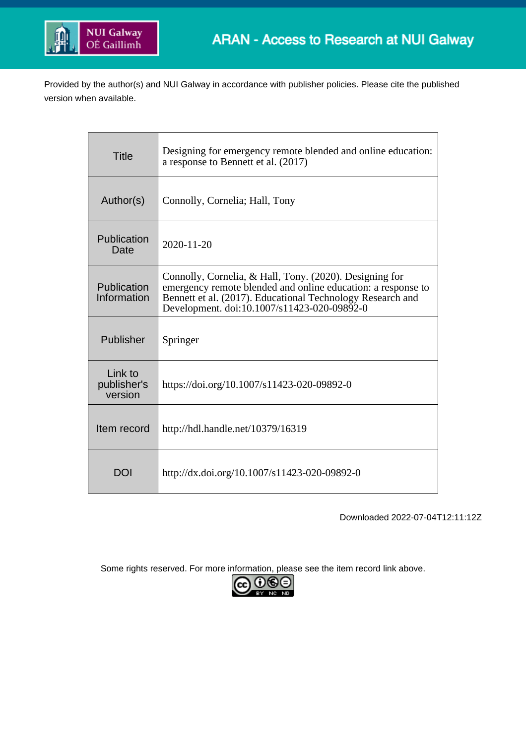

Provided by the author(s) and NUI Galway in accordance with publisher policies. Please cite the published version when available.

| <b>Title</b>                      | Designing for emergency remote blended and online education:<br>a response to Bennett et al. (2017)                                                                                                                                  |
|-----------------------------------|--------------------------------------------------------------------------------------------------------------------------------------------------------------------------------------------------------------------------------------|
| Author(s)                         | Connolly, Cornelia; Hall, Tony                                                                                                                                                                                                       |
| Publication<br>Date               | 2020-11-20                                                                                                                                                                                                                           |
| Publication<br>Information        | Connolly, Cornelia, & Hall, Tony. (2020). Designing for<br>emergency remote blended and online education: a response to<br>Bennett et al. (2017). Educational Technology Research and<br>Development. doi:10.1007/s11423-020-09892-0 |
| Publisher                         | Springer                                                                                                                                                                                                                             |
| Link to<br>publisher's<br>version | https://doi.org/10.1007/s11423-020-09892-0                                                                                                                                                                                           |
| Item record                       | http://hdl.handle.net/10379/16319                                                                                                                                                                                                    |
| DOI                               | http://dx.doi.org/10.1007/s11423-020-09892-0                                                                                                                                                                                         |

Downloaded 2022-07-04T12:11:12Z

Some rights reserved. For more information, please see the item record link above.

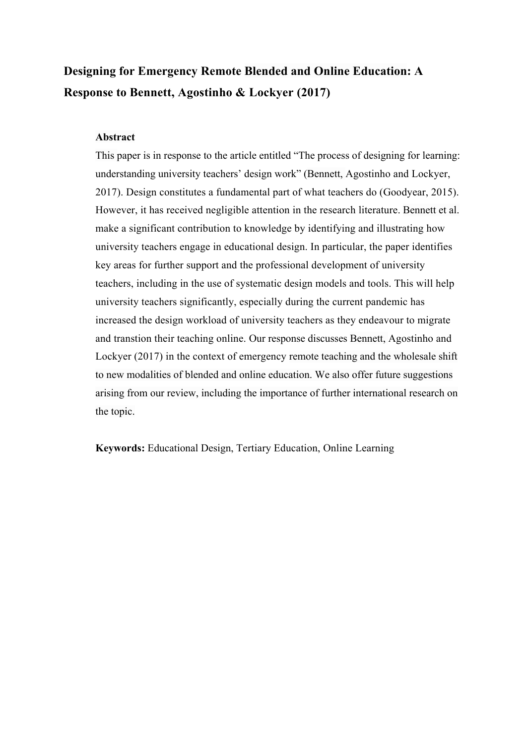# **Designing for Emergency Remote Blended and Online Education: A Response to Bennett, Agostinho & Lockyer (2017)**

## **Abstract**

This paper is in response to the article entitled "The process of designing for learning: understanding university teachers' design work" (Bennett, Agostinho and Lockyer, 2017). Design constitutes a fundamental part of what teachers do (Goodyear, 2015). However, it has received negligible attention in the research literature. Bennett et al. make a significant contribution to knowledge by identifying and illustrating how university teachers engage in educational design. In particular, the paper identifies key areas for further support and the professional development of university teachers, including in the use of systematic design models and tools. This will help university teachers significantly, especially during the current pandemic has increased the design workload of university teachers as they endeavour to migrate and transtion their teaching online. Our response discusses Bennett, Agostinho and Lockyer (2017) in the context of emergency remote teaching and the wholesale shift to new modalities of blended and online education. We also offer future suggestions arising from our review, including the importance of further international research on the topic.

**Keywords:** Educational Design, Tertiary Education, Online Learning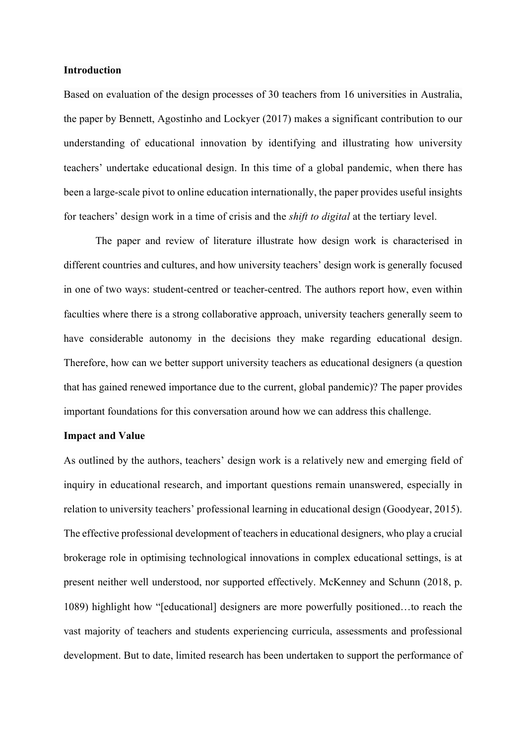## **Introduction**

Based on evaluation of the design processes of 30 teachers from 16 universities in Australia, the paper by Bennett, Agostinho and Lockyer (2017) makes a significant contribution to our understanding of educational innovation by identifying and illustrating how university teachers' undertake educational design. In this time of a global pandemic, when there has been a large-scale pivot to online education internationally, the paper provides useful insights for teachers' design work in a time of crisis and the *shift to digital* at the tertiary level.

The paper and review of literature illustrate how design work is characterised in different countries and cultures, and how university teachers' design work is generally focused in one of two ways: student-centred or teacher-centred. The authors report how, even within faculties where there is a strong collaborative approach, university teachers generally seem to have considerable autonomy in the decisions they make regarding educational design. Therefore, how can we better support university teachers as educational designers (a question that has gained renewed importance due to the current, global pandemic)? The paper provides important foundations for this conversation around how we can address this challenge.

#### **Impact and Value**

As outlined by the authors, teachers' design work is a relatively new and emerging field of inquiry in educational research, and important questions remain unanswered, especially in relation to university teachers' professional learning in educational design (Goodyear, 2015). The effective professional development of teachers in educational designers, who play a crucial brokerage role in optimising technological innovations in complex educational settings, is at present neither well understood, nor supported effectively. McKenney and Schunn (2018, p. 1089) highlight how "[educational] designers are more powerfully positioned…to reach the vast majority of teachers and students experiencing curricula, assessments and professional development. But to date, limited research has been undertaken to support the performance of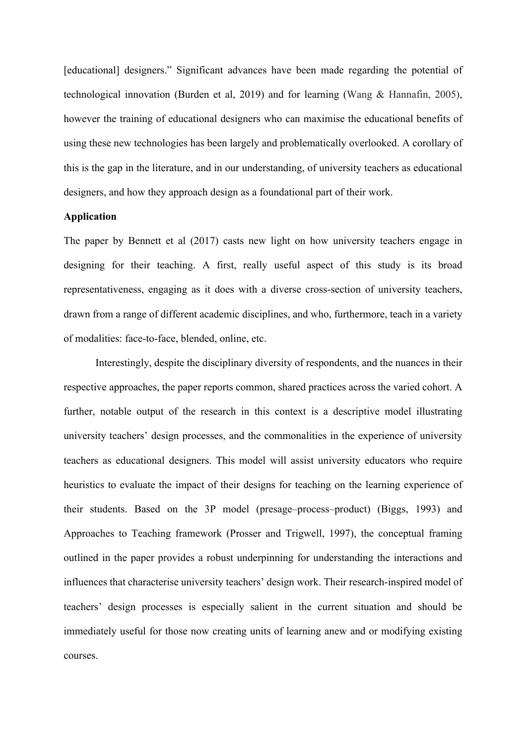[educational] designers." Significant advances have been made regarding the potential of technological innovation (Burden et al, 2019) and for learning (Wang & Hannafin, 2005), however the training of educational designers who can maximise the educational benefits of using these new technologies has been largely and problematically overlooked. A corollary of this is the gap in the literature, and in our understanding, of university teachers as educational designers, and how they approach design as a foundational part of their work.

## **Application**

The paper by Bennett et al (2017) casts new light on how university teachers engage in designing for their teaching. A first, really useful aspect of this study is its broad representativeness, engaging as it does with a diverse cross-section of university teachers, drawn from a range of different academic disciplines, and who, furthermore, teach in a variety of modalities: face-to-face, blended, online, etc.

Interestingly, despite the disciplinary diversity of respondents, and the nuances in their respective approaches, the paper reports common, shared practices across the varied cohort. A further, notable output of the research in this context is a descriptive model illustrating university teachers' design processes, and the commonalities in the experience of university teachers as educational designers. This model will assist university educators who require heuristics to evaluate the impact of their designs for teaching on the learning experience of their students. Based on the 3P model (presage–process–product) (Biggs, 1993) and Approaches to Teaching framework (Prosser and Trigwell, 1997), the conceptual framing outlined in the paper provides a robust underpinning for understanding the interactions and influences that characterise university teachers' design work. Their research-inspired model of teachers' design processes is especially salient in the current situation and should be immediately useful for those now creating units of learning anew and or modifying existing courses.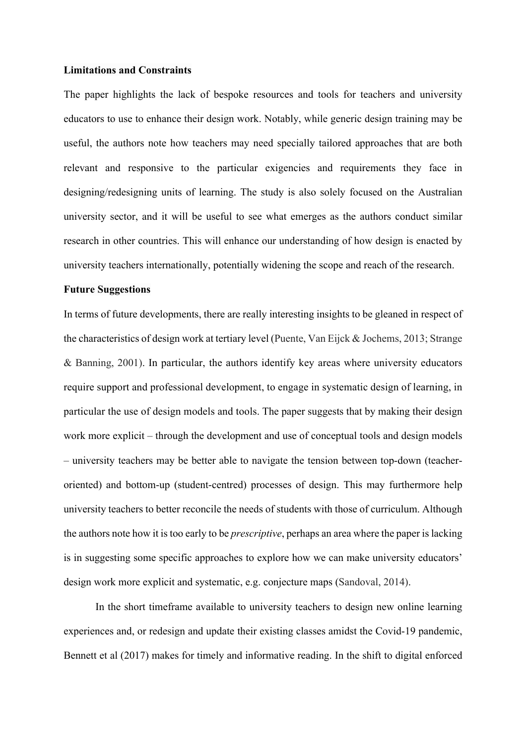## **Limitations and Constraints**

The paper highlights the lack of bespoke resources and tools for teachers and university educators to use to enhance their design work. Notably, while generic design training may be useful, the authors note how teachers may need specially tailored approaches that are both relevant and responsive to the particular exigencies and requirements they face in designing/redesigning units of learning. The study is also solely focused on the Australian university sector, and it will be useful to see what emerges as the authors conduct similar research in other countries. This will enhance our understanding of how design is enacted by university teachers internationally, potentially widening the scope and reach of the research.

### **Future Suggestions**

In terms of future developments, there are really interesting insights to be gleaned in respect of the characteristics of design work at tertiary level (Puente, Van Eijck & Jochems, 2013; Strange & Banning, 2001). In particular, the authors identify key areas where university educators require support and professional development, to engage in systematic design of learning, in particular the use of design models and tools. The paper suggests that by making their design work more explicit – through the development and use of conceptual tools and design models – university teachers may be better able to navigate the tension between top-down (teacheroriented) and bottom-up (student-centred) processes of design. This may furthermore help university teachers to better reconcile the needs of students with those of curriculum. Although the authors note how it is too early to be *prescriptive*, perhaps an area where the paper is lacking is in suggesting some specific approaches to explore how we can make university educators' design work more explicit and systematic, e.g. conjecture maps (Sandoval, 2014).

In the short timeframe available to university teachers to design new online learning experiences and, or redesign and update their existing classes amidst the Covid-19 pandemic, Bennett et al (2017) makes for timely and informative reading. In the shift to digital enforced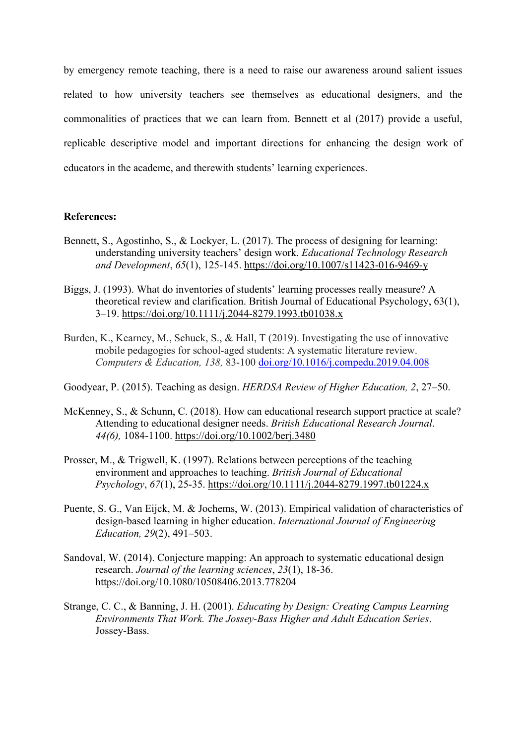by emergency remote teaching, there is a need to raise our awareness around salient issues related to how university teachers see themselves as educational designers, and the commonalities of practices that we can learn from. Bennett et al (2017) provide a useful, replicable descriptive model and important directions for enhancing the design work of educators in the academe, and therewith students' learning experiences.

## **References:**

- Bennett, S., Agostinho, S., & Lockyer, L. (2017). The process of designing for learning: understanding university teachers' design work. *Educational Technology Research and Development*, *65*(1), 125-145. https://doi.org/10.1007/s11423-016-9469-y
- Biggs, J. (1993). What do inventories of students' learning processes really measure? A theoretical review and clarification. British Journal of Educational Psychology, 63(1), 3–19. https://doi.org/10.1111/j.2044-8279.1993.tb01038.x
- Burden, K., Kearney, M., Schuck, S., & Hall, T (2019). Investigating the use of innovative mobile pedagogies for school-aged students: A systematic literature review. *Computers & Education, 138,* 83-100 doi.org/10.1016/j.compedu.2019.04.008
- Goodyear, P. (2015). Teaching as design. *HERDSA Review of Higher Education, 2*, 27–50.
- McKenney, S., & Schunn, C. (2018). How can educational research support practice at scale? Attending to educational designer needs. *British Educational Research Journal*. *44(6),* 1084-1100. https://doi.org/10.1002/berj.3480
- Prosser, M., & Trigwell, K. (1997). Relations between perceptions of the teaching environment and approaches to teaching. *British Journal of Educational Psychology*, *67*(1), 25-35. https://doi.org/10.1111/j.2044-8279.1997.tb01224.x
- Puente, S. G., Van Eijck, M. & Jochems, W. (2013). Empirical validation of characteristics of design-based learning in higher education. *International Journal of Engineering Education, 29*(2), 491–503.
- Sandoval, W. (2014). Conjecture mapping: An approach to systematic educational design research. *Journal of the learning sciences*, *23*(1), 18-36. https://doi.org/10.1080/10508406.2013.778204
- Strange, C. C., & Banning, J. H. (2001). *Educating by Design: Creating Campus Learning Environments That Work. The Jossey-Bass Higher and Adult Education Series*. Jossey-Bass.